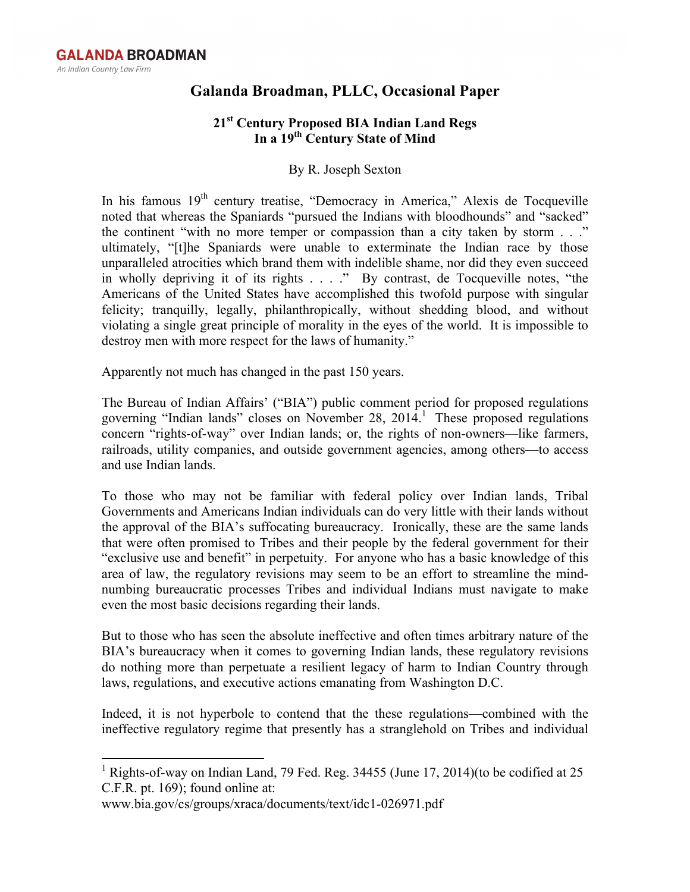## **Galanda Broadman, PLLC, Occasional Paper**

## **21st Century Proposed BIA Indian Land Regs In a 19th Century State of Mind**

## By R. Joseph Sexton

In his famous  $19<sup>th</sup>$  century treatise, "Democracy in America," Alexis de Tocqueville noted that whereas the Spaniards "pursued the Indians with bloodhounds" and "sacked" the continent "with no more temper or compassion than a city taken by storm . . ." ultimately, "[t]he Spaniards were unable to exterminate the Indian race by those unparalleled atrocities which brand them with indelible shame, nor did they even succeed in wholly depriving it of its rights . . . ." By contrast, de Tocqueville notes, "the Americans of the United States have accomplished this twofold purpose with singular felicity; tranquilly, legally, philanthropically, without shedding blood, and without violating a single great principle of morality in the eyes of the world. It is impossible to destroy men with more respect for the laws of humanity."

Apparently not much has changed in the past 150 years.

The Bureau of Indian Affairs' ("BIA") public comment period for proposed regulations governing "Indian lands" closes on November 28, 2014. <sup>1</sup> These proposed regulations concern "rights-of-way" over Indian lands; or, the rights of non-owners—like farmers, railroads, utility companies, and outside government agencies, among others—to access and use Indian lands.

To those who may not be familiar with federal policy over Indian lands, Tribal Governments and Americans Indian individuals can do very little with their lands without the approval of the BIA's suffocating bureaucracy. Ironically, these are the same lands that were often promised to Tribes and their people by the federal government for their "exclusive use and benefit" in perpetuity. For anyone who has a basic knowledge of this area of law, the regulatory revisions may seem to be an effort to streamline the mindnumbing bureaucratic processes Tribes and individual Indians must navigate to make even the most basic decisions regarding their lands.

But to those who has seen the absolute ineffective and often times arbitrary nature of the BIA's bureaucracy when it comes to governing Indian lands, these regulatory revisions do nothing more than perpetuate a resilient legacy of harm to Indian Country through laws, regulations, and executive actions emanating from Washington D.C.

Indeed, it is not hyperbole to contend that the these regulations—combined with the ineffective regulatory regime that presently has a stranglehold on Tribes and individual

<sup>&</sup>lt;sup>1</sup> Rights-of-way on Indian Land, 79 Fed. Reg. 34455 (June 17, 2014)(to be codified at 25 C.F.R. pt. 169); found online at:

www.bia.gov/cs/groups/xraca/documents/text/idc1-026971.pdf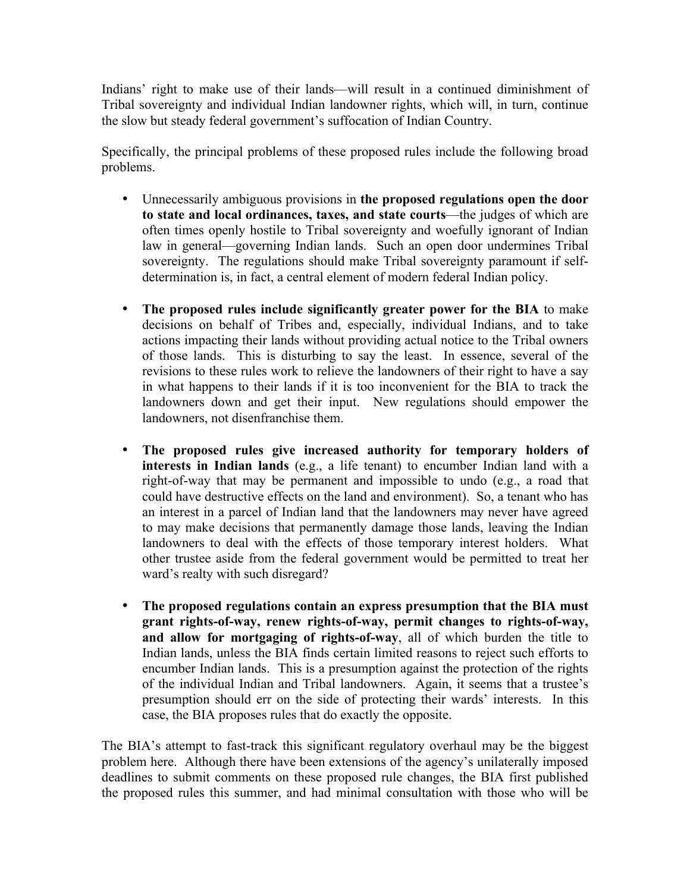Indians' right to make use of their lands—will result in a continued diminishment of Tribal sovereignty and individual Indian landowner rights, which will, in turn, continue the slow but steady federal government's suffocation of Indian Country.

Specifically, the principal problems of these proposed rules include the following broad problems.

- Unnecessarily ambiguous provisions in **the proposed regulations open the door to state and local ordinances, taxes, and state courts**—the judges of which are often times openly hostile to Tribal sovereignty and woefully ignorant of Indian law in general—governing Indian lands. Such an open door undermines Tribal sovereignty. The regulations should make Tribal sovereignty paramount if selfdetermination is, in fact, a central element of modern federal Indian policy.
- **The proposed rules include significantly greater power for the BIA** to make decisions on behalf of Tribes and, especially, individual Indians, and to take actions impacting their lands without providing actual notice to the Tribal owners of those lands. This is disturbing to say the least. In essence, several of the revisions to these rules work to relieve the landowners of their right to have a say in what happens to their lands if it is too inconvenient for the BIA to track the landowners down and get their input. New regulations should empower the landowners, not disenfranchise them.
- **The proposed rules give increased authority for temporary holders of interests in Indian lands** (e.g., a life tenant) to encumber Indian land with a right-of-way that may be permanent and impossible to undo (e.g., a road that could have destructive effects on the land and environment). So, a tenant who has an interest in a parcel of Indian land that the landowners may never have agreed to may make decisions that permanently damage those lands, leaving the Indian landowners to deal with the effects of those temporary interest holders. What other trustee aside from the federal government would be permitted to treat her ward's realty with such disregard?
- **The proposed regulations contain an express presumption that the BIA must grant rights-of-way, renew rights-of-way, permit changes to rights-of-way, and allow for mortgaging of rights-of-way**, all of which burden the title to Indian lands, unless the BIA finds certain limited reasons to reject such efforts to encumber Indian lands. This is a presumption against the protection of the rights of the individual Indian and Tribal landowners. Again, it seems that a trustee's presumption should err on the side of protecting their wards' interests. In this case, the BIA proposes rules that do exactly the opposite.

The BIA's attempt to fast-track this significant regulatory overhaul may be the biggest problem here. Although there have been extensions of the agency's unilaterally imposed deadlines to submit comments on these proposed rule changes, the BIA first published the proposed rules this summer, and had minimal consultation with those who will be